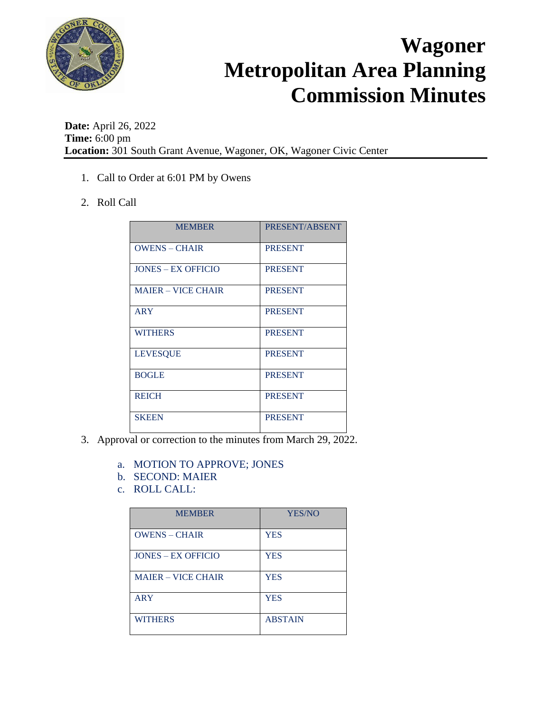

**Date:** April 26, 2022 **Time:** 6:00 pm **Location:** 301 South Grant Avenue, Wagoner, OK, Wagoner Civic Center

- 1. Call to Order at 6:01 PM by Owens
- 2. Roll Call

| <b>MEMBER</b>             | PRESENT/ABSENT |
|---------------------------|----------------|
| $OWENS - CHAIR$           | <b>PRESENT</b> |
| <b>JONES – EX OFFICIO</b> | <b>PRESENT</b> |
| <b>MAIER – VICE CHAIR</b> | <b>PRESENT</b> |
| <b>ARY</b>                | <b>PRESENT</b> |
| <b>WITHERS</b>            | <b>PRESENT</b> |
| <b>LEVESQUE</b>           | <b>PRESENT</b> |
| <b>BOGLE</b>              | <b>PRESENT</b> |
| <b>REICH</b>              | <b>PRESENT</b> |
| <b>SKEEN</b>              | <b>PRESENT</b> |

- 3. Approval or correction to the minutes from March 29, 2022.
	- a. MOTION TO APPROVE; JONES
	- b. SECOND: MAIER
	- c. ROLL CALL:

| <b>MEMBER</b>             | YES/NO         |
|---------------------------|----------------|
| <b>OWENS - CHAIR</b>      | <b>YES</b>     |
| <b>JONES – EX OFFICIO</b> | YES            |
| <b>MAIER – VICE CHAIR</b> | <b>YES</b>     |
| <b>ARY</b>                | <b>YES</b>     |
| <b>WITHERS</b>            | <b>ABSTAIN</b> |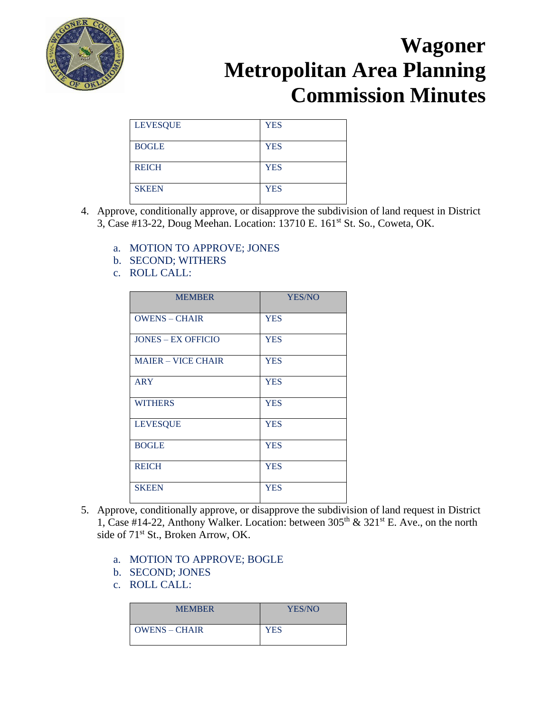

| <b>LEVESQUE</b> | <b>YES</b> |
|-----------------|------------|
| <b>BOGLE</b>    | <b>YES</b> |
| <b>REICH</b>    | <b>YES</b> |
| <b>SKEEN</b>    | <b>YES</b> |

- 4. Approve, conditionally approve, or disapprove the subdivision of land request in District 3, Case #13-22, Doug Meehan. Location: 13710 E. 161<sup>st</sup> St. So., Coweta, OK.
	- a. MOTION TO APPROVE; JONES
	- b. SECOND; WITHERS
	- c. ROLL CALL:

| <b>MEMBER</b>             | <b>YES/NO</b> |
|---------------------------|---------------|
| <b>OWENS - CHAIR</b>      | <b>YES</b>    |
| <b>JONES – EX OFFICIO</b> | <b>YES</b>    |
| <b>MAIER - VICE CHAIR</b> | <b>YES</b>    |
| <b>ARY</b>                | <b>YES</b>    |
| <b>WITHERS</b>            | <b>YES</b>    |
| <b>LEVESQUE</b>           | <b>YES</b>    |
| <b>BOGLE</b>              | <b>YES</b>    |
| <b>REICH</b>              | <b>YES</b>    |
| <b>SKEEN</b>              | <b>YES</b>    |

- 5. Approve, conditionally approve, or disapprove the subdivision of land request in District 1, Case #14-22, Anthony Walker. Location: between  $305<sup>th</sup>$  &  $321<sup>st</sup>$  E. Ave., on the north side of  $71<sup>st</sup>$  St., Broken Arrow, OK.
	- a. MOTION TO APPROVE; BOGLE
	- b. SECOND; JONES
	- c. ROLL CALL:

| <b>MEMBER</b>   | YES/NO     |
|-----------------|------------|
| $OWENS - CHAIR$ | <b>YES</b> |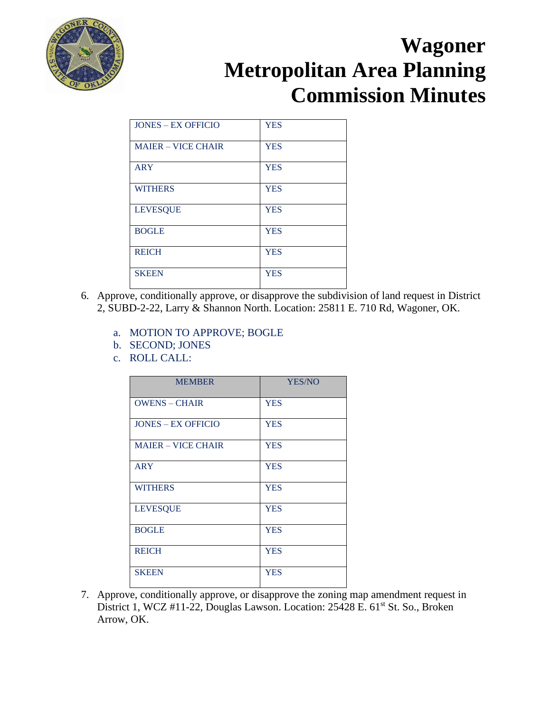

| <b>JONES - EX OFFICIO</b> | <b>YES</b> |
|---------------------------|------------|
| <b>MAIER – VICE CHAIR</b> | <b>YES</b> |
| <b>ARY</b>                | <b>YES</b> |
| <b>WITHERS</b>            | <b>YES</b> |
| <b>LEVESQUE</b>           | <b>YES</b> |
| <b>BOGLE</b>              | <b>YES</b> |
| <b>REICH</b>              | <b>YES</b> |
| <b>SKEEN</b>              | <b>YES</b> |

- 6. Approve, conditionally approve, or disapprove the subdivision of land request in District 2, SUBD-2-22, Larry & Shannon North. Location: 25811 E. 710 Rd, Wagoner, OK.
	- a. MOTION TO APPROVE; BOGLE
	- b. SECOND; JONES
	- c. ROLL CALL:

| <b>MEMBER</b>             | <b>YES/NO</b> |
|---------------------------|---------------|
| <b>OWENS - CHAIR</b>      | <b>YES</b>    |
| <b>JONES - EX OFFICIO</b> | <b>YES</b>    |
| <b>MAIER - VICE CHAIR</b> | <b>YES</b>    |
| <b>ARY</b>                | <b>YES</b>    |
| <b>WITHERS</b>            | <b>YES</b>    |
| <b>LEVESQUE</b>           | <b>YES</b>    |
| <b>BOGLE</b>              | <b>YES</b>    |
| <b>REICH</b>              | <b>YES</b>    |
| <b>SKEEN</b>              | <b>YES</b>    |

7. Approve, conditionally approve, or disapprove the zoning map amendment request in District 1, WCZ #11-22, Douglas Lawson. Location: 25428 E. 61<sup>st</sup> St. So., Broken Arrow, OK.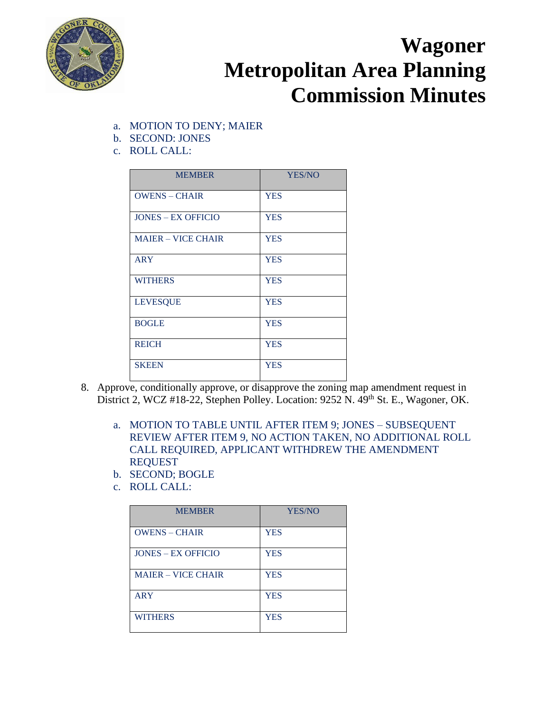

- a. MOTION TO DENY; MAIER
- b. SECOND: JONES
- c. ROLL CALL:

| <b>MEMBER</b>             | YES/NO     |
|---------------------------|------------|
| <b>OWENS - CHAIR</b>      | <b>YES</b> |
| <b>JONES – EX OFFICIO</b> | <b>YES</b> |
| <b>MAIER - VICE CHAIR</b> | <b>YES</b> |
| <b>ARY</b>                | <b>YES</b> |
| <b>WITHERS</b>            | <b>YES</b> |
| <b>LEVESQUE</b>           | <b>YES</b> |
| <b>BOGLE</b>              | <b>YES</b> |
| <b>REICH</b>              | <b>YES</b> |
| <b>SKEEN</b>              | <b>YES</b> |

- 8. Approve, conditionally approve, or disapprove the zoning map amendment request in District 2, WCZ #18-22, Stephen Polley. Location: 9252 N. 49th St. E., Wagoner, OK.
	- a. MOTION TO TABLE UNTIL AFTER ITEM 9; JONES SUBSEQUENT REVIEW AFTER ITEM 9, NO ACTION TAKEN, NO ADDITIONAL ROLL CALL REQUIRED, APPLICANT WITHDREW THE AMENDMENT REQUEST
	- b. SECOND; BOGLE
	- c. ROLL CALL:

| <b>MEMBER</b>             | <b>YES/NO</b> |
|---------------------------|---------------|
| <b>OWENS - CHAIR</b>      | <b>YES</b>    |
| <b>JONES – EX OFFICIO</b> | <b>YES</b>    |
| <b>MAJER – VICE CHAIR</b> | <b>YES</b>    |
| <b>ARY</b>                | <b>YES</b>    |
| <b>WITHERS</b>            | <b>YES</b>    |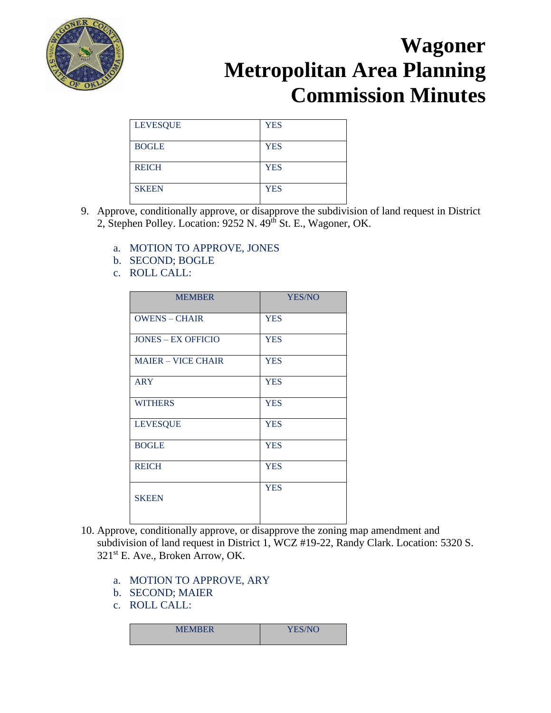

| <b>LEVESQUE</b> | <b>YES</b> |
|-----------------|------------|
| <b>BOGLE</b>    | <b>YES</b> |
| <b>REICH</b>    | <b>YES</b> |
| <b>SKEEN</b>    | <b>YES</b> |

- 9. Approve, conditionally approve, or disapprove the subdivision of land request in District 2, Stephen Polley. Location: 9252 N. 49th St. E., Wagoner, OK.
	- a. MOTION TO APPROVE, JONES
	- b. SECOND; BOGLE
	- c. ROLL CALL:

| <b>MEMBER</b>             | YES/NO     |
|---------------------------|------------|
| <b>OWENS - CHAIR</b>      | <b>YES</b> |
| <b>JONES - EX OFFICIO</b> | <b>YES</b> |
| <b>MAIER - VICE CHAIR</b> | <b>YES</b> |
| <b>ARY</b>                | <b>YES</b> |
| <b>WITHERS</b>            | <b>YES</b> |
| <b>LEVESQUE</b>           | <b>YES</b> |
| <b>BOGLE</b>              | <b>YES</b> |
| <b>REICH</b>              | <b>YES</b> |
| <b>SKEEN</b>              | <b>YES</b> |

- 10. Approve, conditionally approve, or disapprove the zoning map amendment and subdivision of land request in District 1, WCZ #19-22, Randy Clark. Location: 5320 S. 321st E. Ave., Broken Arrow, OK.
	- a. MOTION TO APPROVE, ARY
	- b. SECOND; MAIER
	- c. ROLL CALL:

| <b>MEMBER</b><br><b>YES/NO</b> |
|--------------------------------|
|--------------------------------|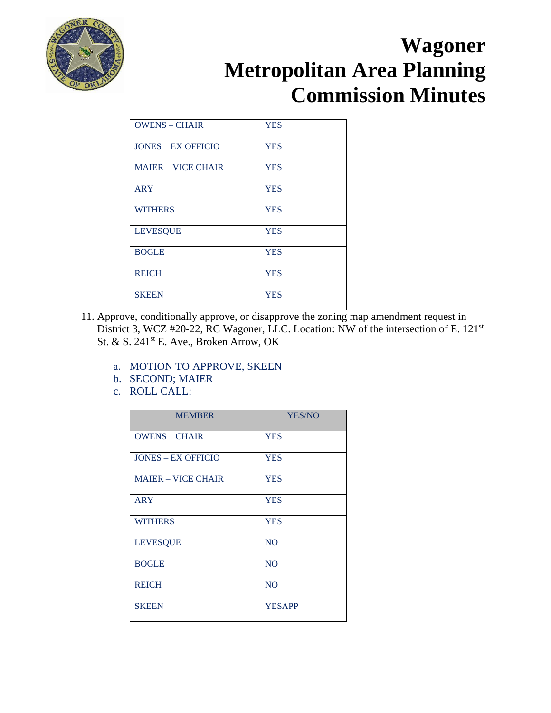

| <b>OWENS - CHAIR</b>      | <b>YES</b> |
|---------------------------|------------|
| <b>JONES – EX OFFICIO</b> | <b>YES</b> |
| <b>MAIER – VICE CHAIR</b> | <b>YES</b> |
| <b>ARY</b>                | <b>YES</b> |
| <b>WITHERS</b>            | <b>YES</b> |
| <b>LEVESQUE</b>           | <b>YES</b> |
| <b>BOGLE</b>              | <b>YES</b> |
| <b>REICH</b>              | <b>YES</b> |
| <b>SKEEN</b>              | <b>YES</b> |

- 11. Approve, conditionally approve, or disapprove the zoning map amendment request in District 3, WCZ #20-22, RC Wagoner, LLC. Location: NW of the intersection of E. 121<sup>st</sup> St. & S. 241st E. Ave., Broken Arrow, OK
	- a. MOTION TO APPROVE, SKEEN
	- b. SECOND; MAIER
	- c. ROLL CALL:

| <b>MEMBER</b>             | YES/NO         |
|---------------------------|----------------|
| <b>OWENS - CHAIR</b>      | <b>YES</b>     |
| <b>JONES – EX OFFICIO</b> | <b>YES</b>     |
| <b>MAIER - VICE CHAIR</b> | <b>YES</b>     |
| <b>ARY</b>                | <b>YES</b>     |
| <b>WITHERS</b>            | <b>YES</b>     |
| <b>LEVESQUE</b>           | N <sub>O</sub> |
| <b>BOGLE</b>              | N <sub>O</sub> |
| <b>REICH</b>              | N <sub>O</sub> |
| <b>SKEEN</b>              | <b>YESAPP</b>  |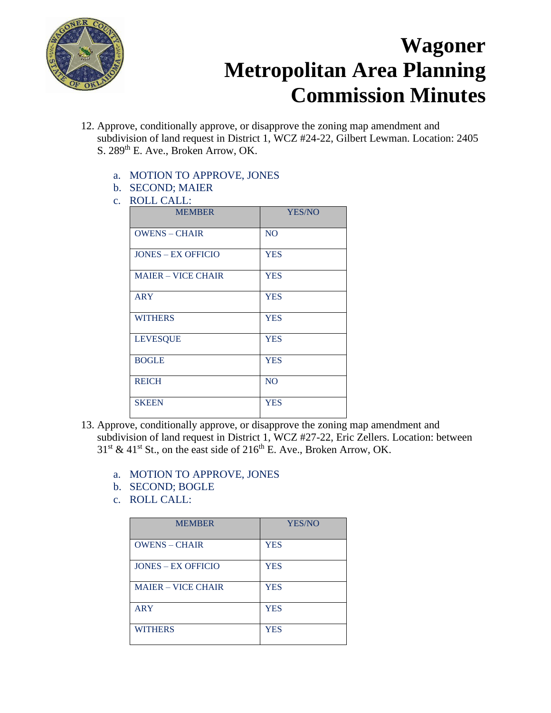

- 12. Approve, conditionally approve, or disapprove the zoning map amendment and subdivision of land request in District 1, WCZ #24-22, Gilbert Lewman. Location: 2405 S. 289<sup>th</sup> E. Ave., Broken Arrow, OK.
	- a. MOTION TO APPROVE, JONES
	- b. SECOND; MAIER
	- c. ROLL CALL:

| <b>MEMBER</b>             | YES/NO         |
|---------------------------|----------------|
| <b>OWENS - CHAIR</b>      | N <sub>O</sub> |
| <b>JONES - EX OFFICIO</b> | <b>YES</b>     |
| <b>MAIER - VICE CHAIR</b> | <b>YES</b>     |
| <b>ARY</b>                | <b>YES</b>     |
| <b>WITHERS</b>            | <b>YES</b>     |
| <b>LEVESQUE</b>           | <b>YES</b>     |
| <b>BOGLE</b>              | <b>YES</b>     |
| <b>REICH</b>              | N <sub>O</sub> |
| <b>SKEEN</b>              | <b>YES</b>     |

- 13. Approve, conditionally approve, or disapprove the zoning map amendment and subdivision of land request in District 1, WCZ #27-22, Eric Zellers. Location: between  $31<sup>st</sup>$  & 41<sup>st</sup> St., on the east side of 216<sup>th</sup> E. Ave., Broken Arrow, OK.
	- a. MOTION TO APPROVE, JONES
	- b. SECOND; BOGLE
	- c. ROLL CALL:

| <b>MEMBER</b>             | <b>YES/NO</b> |
|---------------------------|---------------|
| <b>OWENS - CHAIR</b>      | <b>YES</b>    |
| <b>JONES – EX OFFICIO</b> | <b>YES</b>    |
| <b>MAJER – VICE CHAIR</b> | <b>YES</b>    |
| <b>ARY</b>                | <b>YES</b>    |
| <b>WITHERS</b>            | <b>YES</b>    |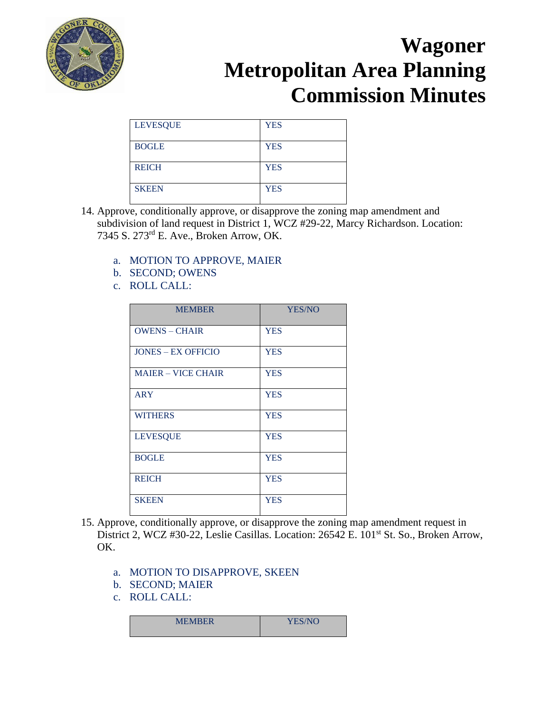

| <b>LEVESQUE</b> | <b>YES</b> |
|-----------------|------------|
| <b>BOGLE</b>    | <b>YES</b> |
| <b>REICH</b>    | <b>YES</b> |
| <b>SKEEN</b>    | <b>YES</b> |

- 14. Approve, conditionally approve, or disapprove the zoning map amendment and subdivision of land request in District 1, WCZ #29-22, Marcy Richardson. Location: 7345 S. 273rd E. Ave., Broken Arrow, OK.
	- a. MOTION TO APPROVE, MAIER
	- b. SECOND; OWENS
	- c. ROLL CALL:

| <b>MEMBER</b>             | <b>YES/NO</b> |
|---------------------------|---------------|
| <b>OWENS - CHAIR</b>      | <b>YES</b>    |
| <b>JONES – EX OFFICIO</b> | <b>YES</b>    |
| <b>MAIER - VICE CHAIR</b> | <b>YES</b>    |
| <b>ARY</b>                | <b>YES</b>    |
| <b>WITHERS</b>            | <b>YES</b>    |
| <b>LEVESQUE</b>           | <b>YES</b>    |
| <b>BOGLE</b>              | <b>YES</b>    |
| <b>REICH</b>              | <b>YES</b>    |
| <b>SKEEN</b>              | <b>YES</b>    |

- 15. Approve, conditionally approve, or disapprove the zoning map amendment request in District 2, WCZ #30-22, Leslie Casillas. Location: 26542 E. 101<sup>st</sup> St. So., Broken Arrow, OK.
	- a. MOTION TO DISAPPROVE, SKEEN
	- b. SECOND; MAIER
	- c. ROLL CALL:

| <b>MEMBER</b> | <b>YES/NO</b> |
|---------------|---------------|
|               |               |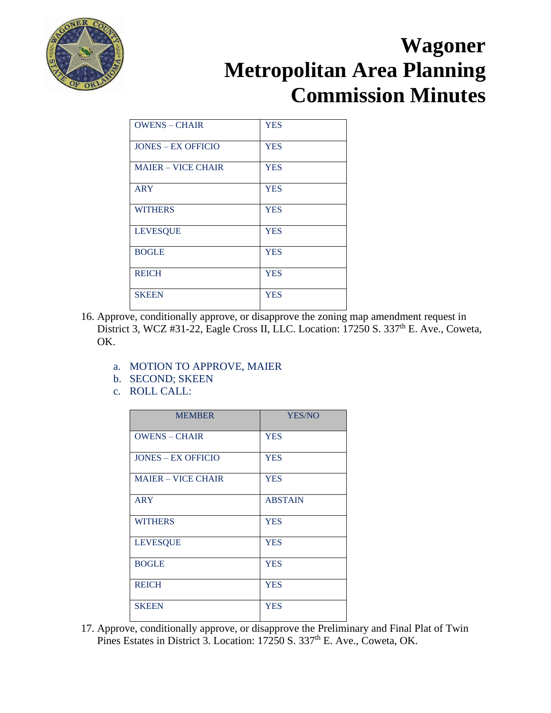

| <b>OWENS - CHAIR</b>      | <b>YES</b> |
|---------------------------|------------|
| <b>JONES – EX OFFICIO</b> | <b>YES</b> |
| <b>MAIER – VICE CHAIR</b> | <b>YES</b> |
| <b>ARY</b>                | <b>YES</b> |
| <b>WITHERS</b>            | <b>YES</b> |
| <b>LEVESQUE</b>           | <b>YES</b> |
| <b>BOGLE</b>              | <b>YES</b> |
| <b>REICH</b>              | <b>YES</b> |
| <b>SKEEN</b>              | <b>YES</b> |

- 16. Approve, conditionally approve, or disapprove the zoning map amendment request in District 3, WCZ #31-22, Eagle Cross II, LLC. Location:  $17250$  S. 337<sup>th</sup> E. Ave., Coweta, OK.
	- a. MOTION TO APPROVE, MAIER
	- b. SECOND; SKEEN
	- c. ROLL CALL:

| <b>MEMBER</b>             | YES/NO         |
|---------------------------|----------------|
| <b>OWENS - CHAIR</b>      | <b>YES</b>     |
| <b>JONES – EX OFFICIO</b> | <b>YES</b>     |
| <b>MAJER – VICE CHAIR</b> | <b>YES</b>     |
| <b>ARY</b>                | <b>ABSTAIN</b> |
| <b>WITHERS</b>            | <b>YES</b>     |
| <b>LEVESQUE</b>           | <b>YES</b>     |
| <b>BOGLE</b>              | <b>YES</b>     |
| <b>REICH</b>              | <b>YES</b>     |
| <b>SKEEN</b>              | <b>YES</b>     |

17. Approve, conditionally approve, or disapprove the Preliminary and Final Plat of Twin Pines Estates in District 3. Location: 17250 S. 337<sup>th</sup> E. Ave., Coweta, OK.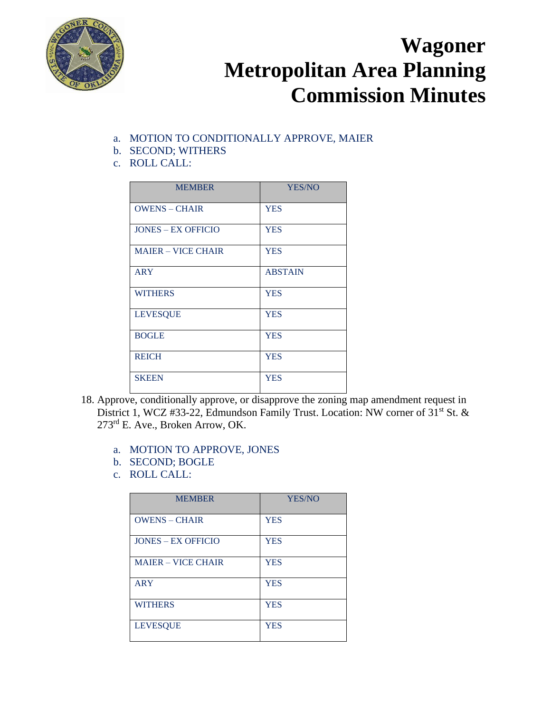

- a. MOTION TO CONDITIONALLY APPROVE, MAIER
- b. SECOND; WITHERS
- c. ROLL CALL:

| <b>MEMBER</b>             | YES/NO         |
|---------------------------|----------------|
| <b>OWENS - CHAIR</b>      | <b>YES</b>     |
| <b>JONES – EX OFFICIO</b> | <b>YES</b>     |
| <b>MAIER - VICE CHAIR</b> | <b>YES</b>     |
| <b>ARY</b>                | <b>ABSTAIN</b> |
| <b>WITHERS</b>            | <b>YES</b>     |
| <b>LEVESQUE</b>           | <b>YES</b>     |
| <b>BOGLE</b>              | <b>YES</b>     |
| <b>REICH</b>              | <b>YES</b>     |
| <b>SKEEN</b>              | <b>YES</b>     |

- 18. Approve, conditionally approve, or disapprove the zoning map amendment request in District 1, WCZ #33-22, Edmundson Family Trust. Location: NW corner of 31<sup>st</sup> St. & 273rd E. Ave., Broken Arrow, OK.
	- a. MOTION TO APPROVE, JONES
	- b. SECOND; BOGLE
	- c. ROLL CALL:

| <b>MEMBER</b>             | YES/NO     |
|---------------------------|------------|
| <b>OWENS - CHAIR</b>      | <b>YES</b> |
| <b>JONES – EX OFFICIO</b> | <b>YES</b> |
| <b>MAIER – VICE CHAIR</b> | <b>YES</b> |
| <b>ARY</b>                | <b>YES</b> |
| <b>WITHERS</b>            | <b>YES</b> |
| <b>LEVESQUE</b>           | <b>YES</b> |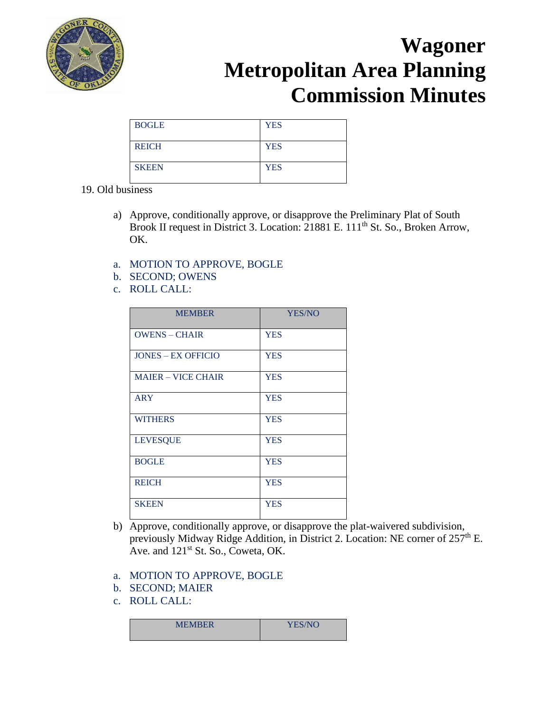

| <b>BOGLE</b> | <b>YES</b> |
|--------------|------------|
| <b>REICH</b> | <b>YES</b> |
| <b>SKEEN</b> | <b>YES</b> |

#### 19. Old business

- a) Approve, conditionally approve, or disapprove the Preliminary Plat of South Brook II request in District 3. Location: 21881 E. 111<sup>th</sup> St. So., Broken Arrow, OK.
- a. MOTION TO APPROVE, BOGLE
- b. SECOND; OWENS
- c. ROLL CALL:

| <b>MEMBER</b>             | YES/NO     |
|---------------------------|------------|
| <b>OWENS - CHAIR</b>      | <b>YES</b> |
| <b>JONES – EX OFFICIO</b> | <b>YES</b> |
| <b>MAIER - VICE CHAIR</b> | <b>YES</b> |
| <b>ARY</b>                | <b>YES</b> |
| <b>WITHERS</b>            | <b>YES</b> |
| <b>LEVESQUE</b>           | <b>YES</b> |
| <b>BOGLE</b>              | <b>YES</b> |
| <b>REICH</b>              | <b>YES</b> |
| <b>SKEEN</b>              | <b>YES</b> |

- b) Approve, conditionally approve, or disapprove the plat-waivered subdivision, previously Midway Ridge Addition, in District 2. Location: NE corner of  $257<sup>th</sup>$  E. Ave. and  $121<sup>st</sup>$  St. So., Coweta, OK.
- a. MOTION TO APPROVE, BOGLE
- b. SECOND; MAIER
- c. ROLL CALL:

| <b>MEMBER</b> | YES/NO |
|---------------|--------|
|               |        |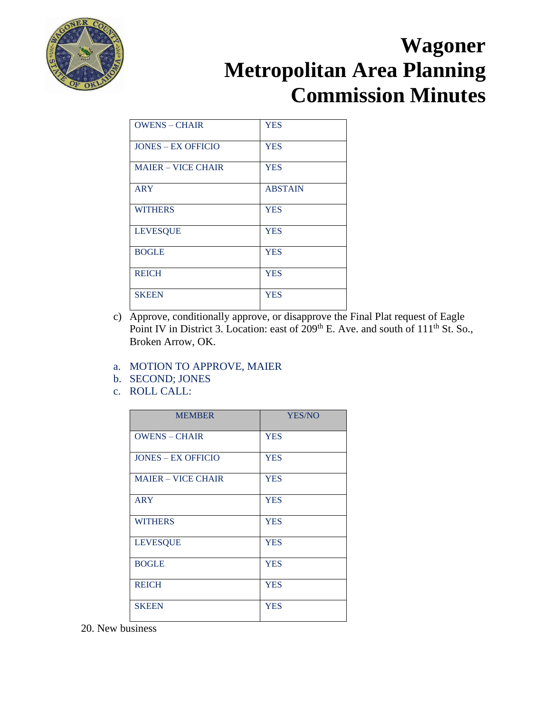

| <b>OWENS - CHAIR</b>      | <b>YES</b>     |
|---------------------------|----------------|
| <b>JONES – EX OFFICIO</b> | <b>YES</b>     |
| <b>MAIER - VICE CHAIR</b> | <b>YES</b>     |
| <b>ARY</b>                | <b>ABSTAIN</b> |
| <b>WITHERS</b>            | <b>YES</b>     |
| <b>LEVESQUE</b>           | <b>YES</b>     |
| <b>BOGLE</b>              | <b>YES</b>     |
| <b>REICH</b>              | <b>YES</b>     |
| <b>SKEEN</b>              | <b>YES</b>     |

c) Approve, conditionally approve, or disapprove the Final Plat request of Eagle Point IV in District 3. Location: east of  $209<sup>th</sup>$  E. Ave. and south of  $111<sup>th</sup>$  St. So., Broken Arrow, OK.

#### a. MOTION TO APPROVE, MAIER

- b. SECOND; JONES
- c. ROLL CALL:

| <b>YES/NO</b> |
|---------------|
| <b>YES</b>    |
| <b>YES</b>    |
| <b>YES</b>    |
| <b>YES</b>    |
| <b>YES</b>    |
| <b>YES</b>    |
| <b>YES</b>    |
| <b>YES</b>    |
| <b>YES</b>    |
|               |

20. New business